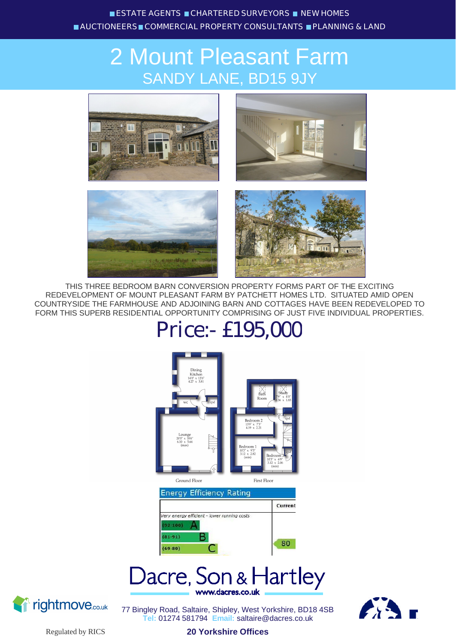## 2 Mount Pleasant Farm SANDY LANE, BD15 9JY



THIS THREE BEDROOM BARN CONVERSION PROPERTY FORMS PART OF THE EXCITING REDEVELOPMENT OF MOUNT PLEASANT FARM BY PATCHETT HOMES LTD. SITUATED AMID OPEN COUNTRYSIDE THE FARMHOUSE AND ADJOINING BARN AND COTTAGES HAVE BEEN REDEVELOPED TO FORM THIS SUPERB RESIDENTIAL OPPORTUNITY COMPRISING OF JUST FIVE INDIVIDUAL PROPERTIES.

# Price:- £195,000







77 Bingley Road, Saltaire, Shipley, West Yorkshire, BD18 4SB **Tel:** 01274 581794 **Email:** saltaire@dacres.co.uk

**20 Yorkshire Offices**